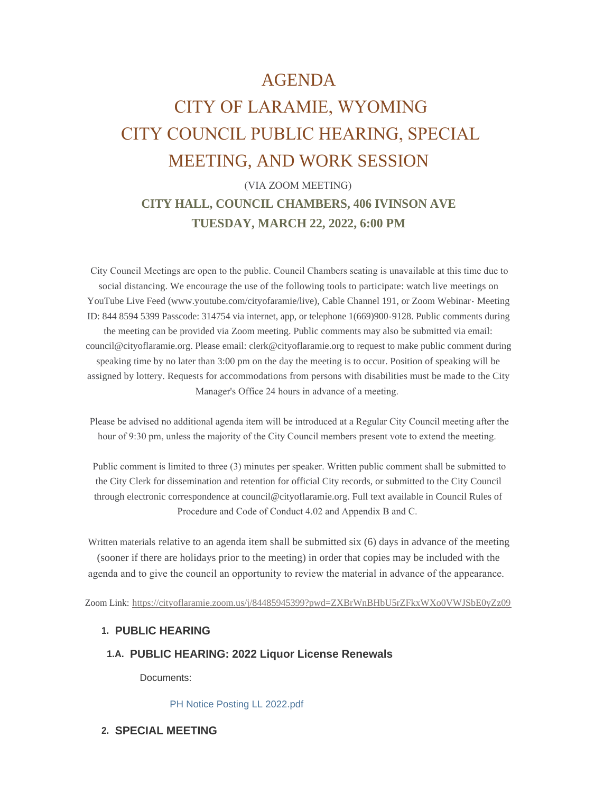# AGENDA

# CITY OF LARAMIE, WYOMING CITY COUNCIL PUBLIC HEARING, SPECIAL MEETING, AND WORK SESSION

# (VIA ZOOM MEETING) **CITY HALL, COUNCIL CHAMBERS, 406 IVINSON AVE TUESDAY, MARCH 22, 2022, 6:00 PM**

 City Council Meetings are open to the public. Council Chambers seating is unavailable at this time due to social distancing. We encourage the use of the following tools to participate: watch live meetings on YouTube Live Feed (www.youtube.com/cityofaramie/live), Cable Channel 191, or Zoom Webinar- Meeting ID: 844 8594 5399 Passcode: 314754 via internet, app, or telephone 1(669)900-9128. Public comments during the meeting can be provided via Zoom meeting. Public comments may also be submitted via email: council@cityoflaramie.org. Please email: clerk@cityoflaramie.org to request to make public comment during speaking time by no later than 3:00 pm on the day the meeting is to occur. Position of speaking will be assigned by lottery. Requests for accommodations from persons with disabilities must be made to the City Manager's Office 24 hours in advance of a meeting.

 Please be advised no additional agenda item will be introduced at a Regular City Council meeting after the hour of 9:30 pm, unless the majority of the City Council members present vote to extend the meeting.

 Public comment is limited to three (3) minutes per speaker. Written public comment shall be submitted to the City Clerk for dissemination and retention for official City records, or submitted to the City Council through electronic correspondence at council@cityoflaramie.org. Full text available in Council Rules of Procedure and Code of Conduct 4.02 and Appendix B and C.

Written materials relative to an agenda item shall be submitted six (6) days in advance of the meeting (sooner if there are holidays prior to the meeting) in order that copies may be included with the agenda and to give the council an opportunity to review the material in advance of the appearance.

Zoom Link: <https://cityoflaramie.zoom.us/j/84485945399?pwd=ZXBrWnBHbU5rZFkxWXo0VWJSbE0yZz09>

#### **PUBLIC HEARING 1.**

## **PUBLIC HEARING: 2022 Liquor License Renewals 1.A.**

Documents:

[PH Notice Posting LL 2022.pdf](https://www.cityoflaramie.org/AgendaCenter/ViewFile/Item/12042?fileID=16448)

**SPECIAL MEETING 2.**